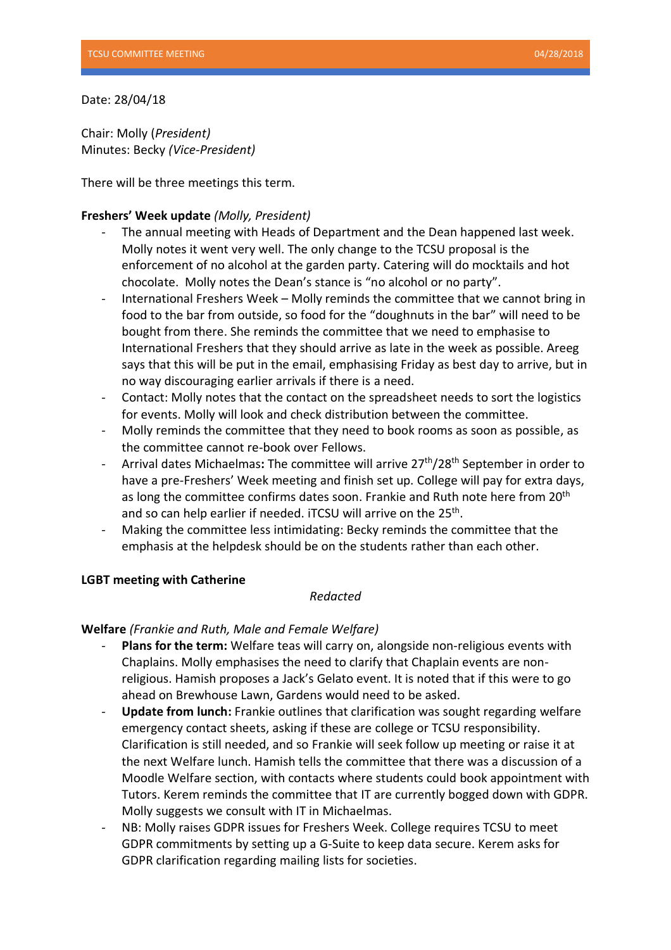Date: 28/04/18

Chair: Molly (*President)*  Minutes: Becky *(Vice-President)*

There will be three meetings this term.

### **Freshers' Week update** *(Molly, President)*

- The annual meeting with Heads of Department and the Dean happened last week. Molly notes it went very well. The only change to the TCSU proposal is the enforcement of no alcohol at the garden party. Catering will do mocktails and hot chocolate. Molly notes the Dean's stance is "no alcohol or no party".
- International Freshers Week Molly reminds the committee that we cannot bring in food to the bar from outside, so food for the "doughnuts in the bar" will need to be bought from there. She reminds the committee that we need to emphasise to International Freshers that they should arrive as late in the week as possible. Areeg says that this will be put in the email, emphasising Friday as best day to arrive, but in no way discouraging earlier arrivals if there is a need.
- Contact: Molly notes that the contact on the spreadsheet needs to sort the logistics for events. Molly will look and check distribution between the committee.
- Molly reminds the committee that they need to book rooms as soon as possible, as the committee cannot re-book over Fellows.
- Arrival dates Michaelmas: The committee will arrive 27<sup>th</sup>/28<sup>th</sup> September in order to have a pre-Freshers' Week meeting and finish set up. College will pay for extra days, as long the committee confirms dates soon. Frankie and Ruth note here from 20<sup>th</sup> and so can help earlier if needed. iTCSU will arrive on the 25<sup>th</sup>.
- Making the committee less intimidating: Becky reminds the committee that the emphasis at the helpdesk should be on the students rather than each other.

# **LGBT meeting with Catherine**

# *Redacted*

# **Welfare** *(Frankie and Ruth, Male and Female Welfare)*

- **Plans for the term:** Welfare teas will carry on, alongside non-religious events with Chaplains. Molly emphasises the need to clarify that Chaplain events are nonreligious. Hamish proposes a Jack's Gelato event. It is noted that if this were to go ahead on Brewhouse Lawn, Gardens would need to be asked.
- **Update from lunch:** Frankie outlines that clarification was sought regarding welfare emergency contact sheets, asking if these are college or TCSU responsibility. Clarification is still needed, and so Frankie will seek follow up meeting or raise it at the next Welfare lunch. Hamish tells the committee that there was a discussion of a Moodle Welfare section, with contacts where students could book appointment with Tutors. Kerem reminds the committee that IT are currently bogged down with GDPR. Molly suggests we consult with IT in Michaelmas.
- NB: Molly raises GDPR issues for Freshers Week. College requires TCSU to meet GDPR commitments by setting up a G-Suite to keep data secure. Kerem asks for GDPR clarification regarding mailing lists for societies.